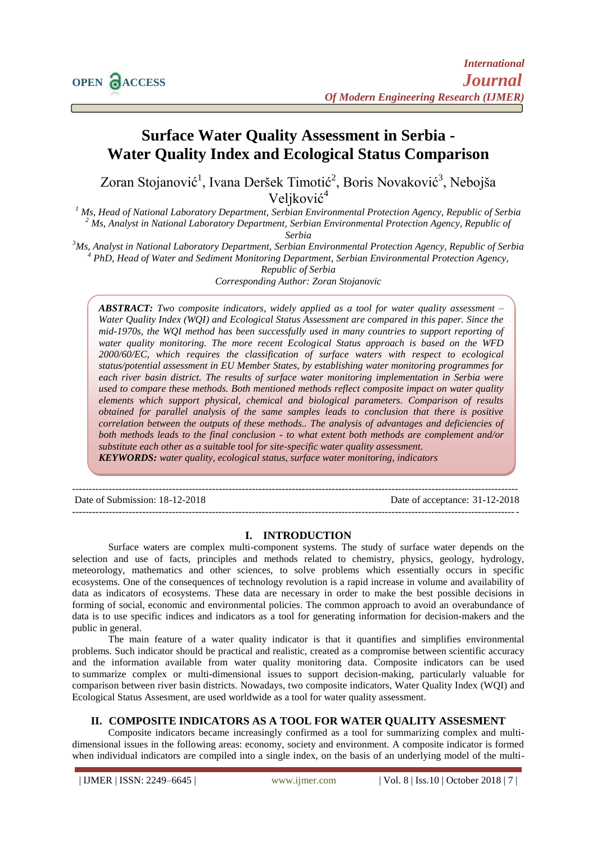# **Surface Water Quality Assessment in Serbia - Water Quality Index and Ecological Status Comparison**

Zoran Stojanović<sup>1</sup>, Ivana Deršek Timotić<sup>2</sup>, Boris Novaković<sup>3</sup>, Nebojša Veljković<sup>4</sup>

*<sup>1</sup> Ms, Head of National Laboratory Department, Serbian Environmental Protection Agency, Republic of Serbia <sup>2</sup> Ms, Analyst in National Laboratory Department, Serbian Environmental Protection Agency, Republic of* 

*Serbia*

*<sup>3</sup>Ms, Analyst in National Laboratory Department, Serbian Environmental Protection Agency, Republic of Serbia 4 PhD, Head of Water and Sediment Monitoring Department, Serbian Environmental Protection Agency,* 

*Republic of Serbia Corresponding Author: Zoran Stojanovic*

*ABSTRACT: Two composite indicators, widely applied as a tool for water quality assessment – Water Quality Index (WQI) and Ecological Status Assessment are compared in this paper. Since the mid-1970s, the WQI method has been successfully used in many countries to support reporting of water quality monitoring. The more recent Ecological Status approach is based on the WFD 2000/60/EC, which requires the classification of surface waters with respect to ecological status/potential assessment in EU Member States, by establishing water monitoring programmes for each river basin district. The results of surface water monitoring implementation in Serbia were used to compare these methods. Both mentioned methods reflect composite impact on water quality elements which support physical, chemical and biological parameters. Comparison of results obtained for parallel analysis of the same samples leads to conclusion that there is positive correlation between the outputs of these methods.. The analysis of advantages and deficiencies of both methods leads to the final conclusion - to what extent both methods are complement and/or substitute each other as a suitable tool for site-specific water quality assessment. KEYWORDS: water quality, ecological status, surface water monitoring, indicators*

Date of Submission: 18-12-2018 Date of acceptance: 31-12-2018

--------------------------------------------------------------------------------------------------------------------------------------

--------------------------------------------------------------------------------------------------------------------------------------

#### **I. INTRODUCTION**

Surface waters are complex multi-component systems. The study of surface water depends on the selection and use of facts, principles and methods related to chemistry, physics, geology, hydrology, meteorology, mathematics and other sciences, to solve problems which essentially occurs in specific ecosystems. One of the consequences of technology revolution is a rapid increase in volume and availability of data as indicators of ecosystems. These data are necessary in order to make the best possible decisions in forming of social, economic and environmental policies. The common approach to avoid an overabundance of data is to use specific indices and indicators as a tool for generating information for decision-makers and the public in general.

The main feature of a water quality indicator is that it quantifies and simplifies environmental problems. Such indicator should be practical and realistic, created as a compromise between scientific accuracy and the information available from water quality monitoring data. Composite indicators can be used to summarize complex or multi-dimensional issues to support decision-making, particularly valuable for comparison between river basin districts. Nowadays, two composite indicators, Water Quality Index (WQI) and Ecological Status Assesment, are used worldwide as a tool for water quality assessment.

# **II. COMPOSITE INDICATORS AS A TOOL FOR WATER QUALITY ASSESMENT**

Composite indicators became increasingly confirmed as a tool for summarizing complex and multidimensional issues in the following areas: economy, society and environment. A composite indicator is formed when individual indicators are compiled into a single index, on the basis of an underlying model of the multi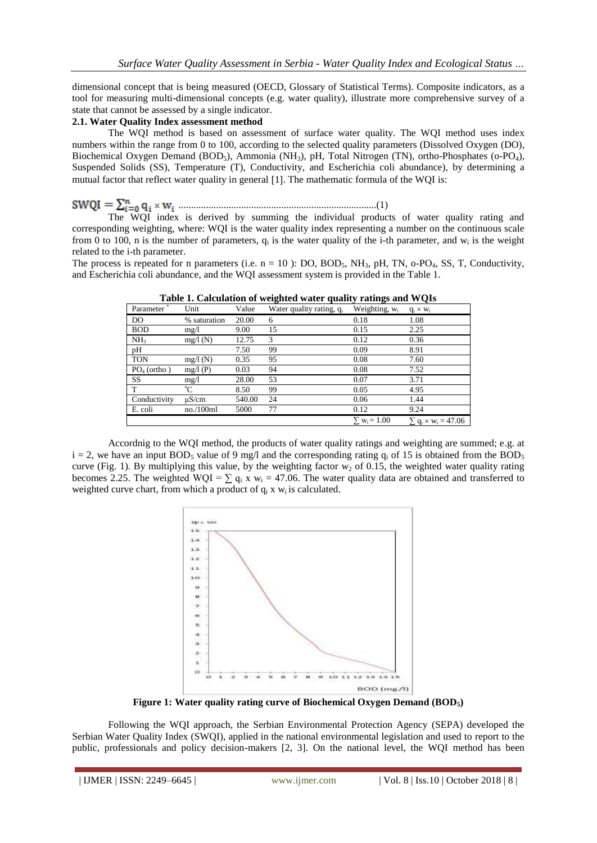dimensional concept that is being measured (OECD, Glossary of Statistical Terms). Composite indicators, as a tool for measuring multi-dimensional concepts (e.g. water quality), illustrate more comprehensive survey of a state that cannot be assessed by a single indicator.

#### **2.1. Water Quality Index assessment method**

The WQI method is based on assessment of surface water quality. The WQI method uses index numbers within the range from 0 to 100, according to the selected quality parameters (Dissolved Oxygen (DO), Biochemical Oxygen Demand (BOD<sub>5</sub>), Ammonia (NH<sub>3</sub>), pH, Total Nitrogen (TN), ortho-Phosphates (o-PO<sub>4</sub>), Suspended Solids (SS), Temperature (T), Conductivity, and Escherichia coli abundance), by determining a mutual factor that reflect water quality in general [1]. The mathematic formula of the WOI is:

# ...............................................................................(1)

The WQI index is derived by summing the individual products of water quality rating and corresponding weighting, where: WQI is the water quality index representing a number on the continuous scale from 0 to 100, n is the number of parameters,  $q_i$  is the water quality of the i-th parameter, and  $w_i$  is the weight related to the i-th parameter.

The process is repeated for n parameters (i.e.  $n = 10$ ): DO, BOD<sub>5</sub>, NH<sub>3</sub>, pH, TN, o-PO<sub>4</sub>, SS, T, Conductivity, and Escherichia coli abundance, and the WQI assessment system is provided in the Table 1.

| Tubic is culculation of weighted water quality rutings and we gis |              |        |                                      |                                |                                                  |  |  |
|-------------------------------------------------------------------|--------------|--------|--------------------------------------|--------------------------------|--------------------------------------------------|--|--|
| Parameter                                                         | Unit         | Value  | Water quality rating, q <sub>i</sub> | Weighting, $w_i$               | $q_i \times w_i$                                 |  |  |
| DO.                                                               | % saturation | 20.00  | 6                                    | 0.18                           | 1.08                                             |  |  |
| <b>BOD</b>                                                        | mg/1         | 9.00   | 15                                   | 0.15                           | 2.25                                             |  |  |
| NH <sub>3</sub>                                                   | mg/l(N)      | 12.75  | 3                                    | 0.12                           | 0.36                                             |  |  |
| pH                                                                |              | 7.50   | 99                                   | 0.09                           | 8.91                                             |  |  |
| <b>TON</b>                                                        | mg/l(N)      | 0.35   | 95                                   | 0.08                           | 7.60                                             |  |  |
| $PO4$ (ortho)                                                     | mg/l(P)      | 0.03   | 94                                   | 0.08                           | 7.52                                             |  |  |
| <b>SS</b>                                                         | mg/1         | 28.00  | 53                                   | 0.07                           | 3.71                                             |  |  |
| T                                                                 | °C           | 8.50   | 99                                   | 0.05                           | 4.95                                             |  |  |
| Conductivity                                                      | $\mu$ S/cm   | 540.00 | 24                                   | 0.06                           | 1.44                                             |  |  |
| E. coli                                                           | no./100ml    | 5000   | 77                                   | 0.12                           | 9.24                                             |  |  |
|                                                                   |              |        |                                      | $\Sigma$ w <sub>i</sub> = 1.00 | $\Sigma$ q <sub>i</sub> × w <sub>i</sub> = 47.06 |  |  |

**Table 1. Calculation of weighted water quality ratings and WQIs**

Accordnig to the WQI method, the products of water quality ratings and weighting are summed; e.g. at  $i = 2$ , we have an input BOD<sub>5</sub> value of 9 mg/l and the corresponding rating  $q_i$  of 15 is obtained from the BOD<sub>5</sub> curve (Fig. 1). By multiplying this value, by the weighting factor  $w_2$  of 0.15, the weighted water quality rating becomes 2.25. The weighted WQI =  $\sum q_i x w_i = 47.06$ . The water quality data are obtained and transferred to weighted curve chart, from which a product of  $q_i$  x  $w_i$  is calculated.



**Figure 1: Water quality rating curve of Biochemical Oxygen Demand (BOD5)**

Following the WQI approach, the Serbian Environmental Protection Agency (SEPA) developed the Serbian Water Quality Index (SWQI), applied in the national environmental legislation and used to report to the public, professionals and policy decision-makers [2, 3]. On the national level, the WQI method has been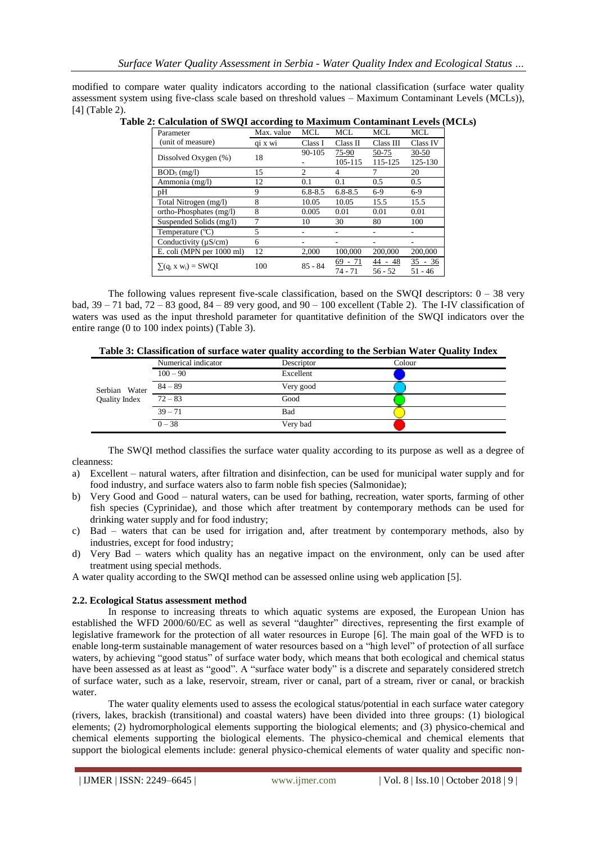modified to compare water quality indicators according to the national classification (surface water quality assessment system using five-class scale based on threshold values – Maximum Contaminant Levels (MCLs)), [4] (Table 2).

| Table 2: Calculation of SWQI according to Maximum Contaminant Levels (MCLs) |  |
|-----------------------------------------------------------------------------|--|
|-----------------------------------------------------------------------------|--|

| Parameter                  | Max. value | <b>MCL</b>     | MCL.                 | MCL                  | MCL                    |
|----------------------------|------------|----------------|----------------------|----------------------|------------------------|
| (unit of measure)          | qi x wi    | Class I        | Class II             | Class III            | Class IV               |
| Dissolved Oxygen (%)       | 18         | 90-105         | 75-90                | 50-75                | $30 - 50$              |
|                            |            |                | 105-115              | 115-125              | 125-130                |
| $BOD_5$ (mg/l)             | 15         | $\overline{c}$ | 4                    | 7                    | 20                     |
| Ammonia (mg/l)             | 12         | 0.1            | 0.1                  | $0.5^{\circ}$        | 0.5                    |
| pΗ                         | 9          | $6.8 - 8.5$    | $6.8 - 8.5$          | $6-9$                | $6-9$                  |
| Total Nitrogen (mg/l)      | 8          | 10.05          | 10.05                | 15.5                 | 15.5                   |
| ortho-Phosphates (mg/l)    | 8          | 0.005          | 0.01                 | 0.01                 | 0.01                   |
| Suspended Solids (mg/l)    | 7          | 10             | 30                   | 80                   | 100                    |
| Temperature $(^{\circ}C)$  | 5          |                |                      |                      |                        |
| Conductivity ( $\mu$ S/cm) | 6          |                |                      |                      |                        |
| E. coli (MPN per 1000 ml)  | 12         | 2,000          | 100,000              | 200,000              | 200,000                |
| $\sum (q_i x w_i) = SWQI$  | 100        | $85 - 84$      | 69 - 71<br>$74 - 71$ | 44 - 48<br>$56 - 52$ | $35 - 36$<br>$51 - 46$ |

The following values represent five-scale classification, based on the SWQI descriptors:  $0 - 38$  very bad,  $39 - 71$  bad,  $72 - 83$  good,  $84 - 89$  very good, and  $90 - 100$  excellent (Table 2). The I-IV classification of waters was used as the input threshold parameter for quantitative definition of the SWQI indicators over the entire range (0 to 100 index points) (Table 3).

| Serbian Water<br>Quality Index | Numerical indicator | $\tilde{\phantom{a}}$<br>Descriptor | Colour |  |
|--------------------------------|---------------------|-------------------------------------|--------|--|
|                                | $100 - 90$          | Excellent                           |        |  |
|                                | $84 - 89$           | Very good                           |        |  |
|                                | $72 - 83$           | Good                                |        |  |
|                                | $39 - 71$           | Bad                                 |        |  |
|                                | $0 - 38$            | Very bad                            |        |  |

The SWQI method classifies the surface water quality according to its purpose as well as a degree of cleanness:

- a) Excellent natural waters, after filtration and disinfection, can be used for municipal water supply and for food industry, and surface waters also to farm noble fish species (Salmonidae);
- b) Very Good and Good natural waters, can be used for bathing, recreation, water sports, farming of other fish species (Cyprinidae), and those which after treatment by contemporary methods can be used for drinking water supply and for food industry;
- c) Bad waters that can be used for irrigation and, after treatment by contemporary methods, also by industries, except for food industry;
- d) Very Bad waters which quality has an negative impact on the environment, only can be used after treatment using special methods.

A water quality according to the SWQI method can be assessed online using web application [5].

#### **2.2. Ecological Status assessment method**

In response to increasing threats to which aquatic systems are exposed, the European Union has established the WFD 2000/60/EC as well as several "daughter" directives, representing the first example of legislative framework for the protection of all water resources in Europe [6]. The main goal of the WFD is to enable long-term sustainable management of water resources based on a "high level" of protection of all surface waters, by achieving "good status" of surface water body, which means that both ecological and chemical status have been assessed as at least as "good". A "surface water body" is a discrete and separately considered stretch of surface water, such as a lake, reservoir, stream, river or canal, part of a stream, river or canal, or brackish water.

The water quality elements used to assess the ecological status/potential in each surface water category (rivers, lakes, brackish (transitional) and coastal waters) have been divided into three groups: (1) biological elements; (2) hydromorphological elements supporting the biological elements; and (3) physico-chemical and chemical elements supporting the biological elements. The physico-chemical and chemical elements that support the biological elements include: general physico-chemical elements of water quality and specific non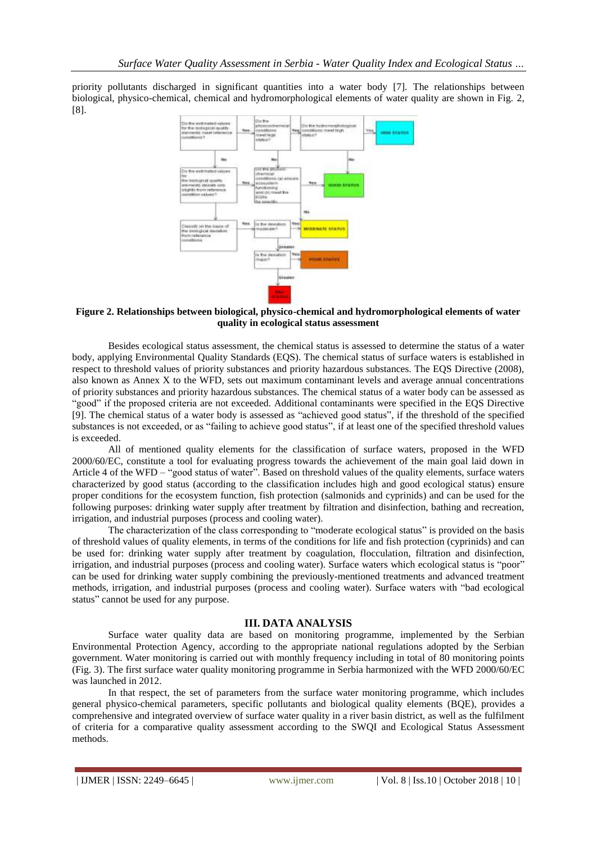priority pollutants discharged in significant quantities into a water body [7]. The relationships between biological, physico-chemical, chemical and hydromorphological elements of water quality are shown in Fig. 2, [8].



#### **Figure 2. Relationships between biological, physico-chemical and hydromorphological elements of water quality in ecological status assessment**

Besides ecological status assessment, the chemical status is assessed to determine the status of a water body, applying Environmental Quality Standards (EQS). The chemical status of surface waters is established in respect to threshold values of priority substances and priority hazardous substances. The EQS Directive (2008), also known as Annex X to the WFD, sets out maximum contaminant levels and average annual concentrations of priority substances and priority hazardous substances. The chemical status of a water body can be assessed as "good" if the proposed criteria are not exceeded. Additional contaminants were specified in the EQS Directive [9]. The chemical status of a water body is assessed as "achieved good status", if the threshold of the specified substances is not exceeded, or as "failing to achieve good status", if at least one of the specified threshold values is exceeded.

All of mentioned quality elements for the classification of surface waters, proposed in the WFD 2000/60/EC, constitute a tool for evaluating progress towards the achievement of the main goal laid down in Article 4 of the WFD – "good status of water". Based on threshold values of the quality elements, surface waters characterized by good status (according to the classification includes high and good ecological status) ensure proper conditions for the ecosystem function, fish protection (salmonids and cyprinids) and can be used for the following purposes: drinking water supply after treatment by filtration and disinfection, bathing and recreation, irrigation, and industrial purposes (process and cooling water).

The characterization of the class corresponding to "moderate ecological status" is provided on the basis of threshold values of quality elements, in terms of the conditions for life and fish protection (cyprinids) and can be used for: drinking water supply after treatment by coagulation, flocculation, filtration and disinfection, irrigation, and industrial purposes (process and cooling water). Surface waters which ecological status is "poor" can be used for drinking water supply combining the previously-mentioned treatments and advanced treatment methods, irrigation, and industrial purposes (process and cooling water). Surface waters with "bad ecological status" cannot be used for any purpose.

#### **III. DATA ANALYSIS**

Surface water quality data are based on monitoring programme, implemented by the Serbian Environmental Protection Agency, according to the appropriate national regulations adopted by the Serbian government. Water monitoring is carried out with monthly frequency including in total of 80 monitoring points (Fig. 3). The first surface water quality monitoring programme in Serbia harmonized with the WFD 2000/60/EC was launched in 2012.

In that respect, the set of parameters from the surface water monitoring programme, which includes general physico-chemical parameters, specific pollutants and biological quality elements (BQE), provides a comprehensive and integrated overview of surface water quality in a river basin district, as well as the fulfilment of criteria for a comparative quality assessment according to the SWQI and Ecological Status Assessment methods.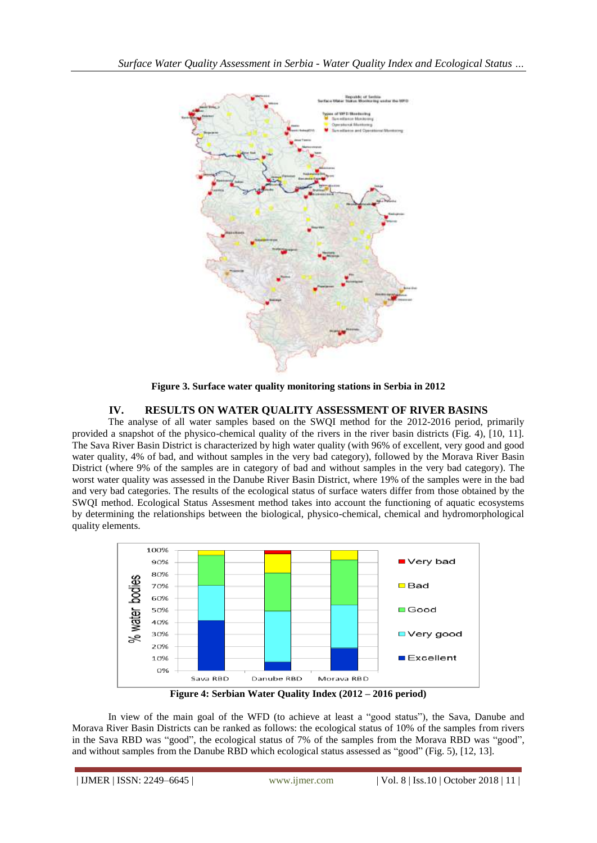

**Figure 3. Surface water quality monitoring stations in Serbia in 2012**

# **IV. RESULTS ON WATER QUALITY ASSESSMENT OF RIVER BASINS**

The analyse of all water samples based on the SWQI method for the 2012-2016 period, primarily provided a snapshot of the physico-chemical quality of the rivers in the river basin districts (Fig. 4), [10, 11]. The Sava River Basin District is characterized by high water quality (with 96% of excellent, very good and good water quality, 4% of bad, and without samples in the very bad category), followed by the Morava River Basin District (where 9% of the samples are in category of bad and without samples in the very bad category). The worst water quality was assessed in the Danube River Basin District, where 19% of the samples were in the bad and very bad categories. The results of the ecological status of surface waters differ from those obtained by the SWQI method. Ecological Status Assesment method takes into account the functioning of aquatic ecosystems by determining the relationships between the biological, physico-chemical, chemical and hydromorphological quality elements.



In view of the main goal of the WFD (to achieve at least a "good status"), the Sava, Danube and Morava River Basin Districts can be ranked as follows: the ecological status of 10% of the samples from rivers in the Sava RBD was "good", the ecological status of 7% of the samples from the Morava RBD was "good", and without samples from the Danube RBD which ecological status assessed as "good" (Fig. 5), [12, 13].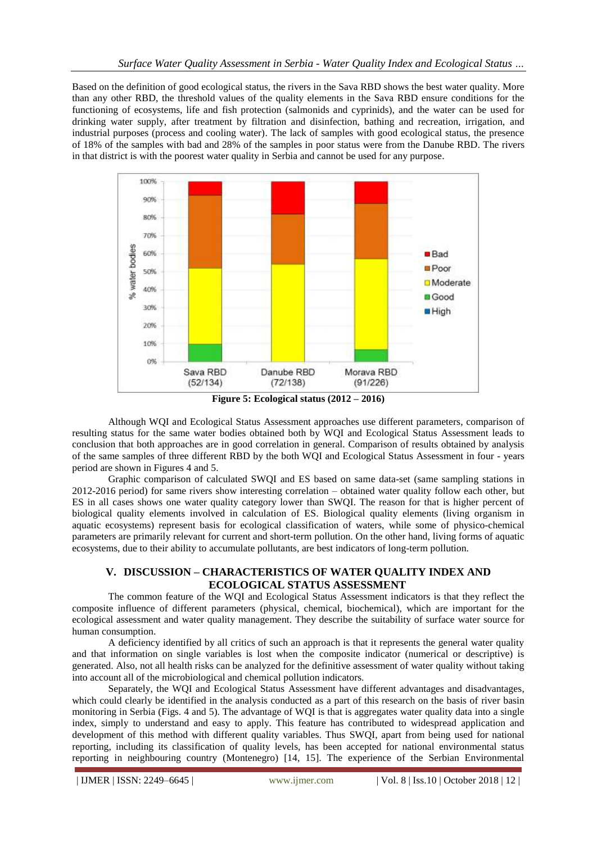Based on the definition of good ecological status, the rivers in the Sava RBD shows the best water quality. More than any other RBD, the threshold values of the quality elements in the Sava RBD ensure conditions for the functioning of ecosystems, life and fish protection (salmonids and cyprinids), and the water can be used for drinking water supply, after treatment by filtration and disinfection, bathing and recreation, irrigation, and industrial purposes (process and cooling water). The lack of samples with good ecological status, the presence of 18% of the samples with bad and 28% of the samples in poor status were from the Danube RBD. The rivers in that district is with the poorest water quality in Serbia and cannot be used for any purpose.



Although WQI and Ecological Status Assessment approaches use different parameters, comparison of resulting status for the same water bodies obtained both by WQI and Ecological Status Assessment leads to conclusion that both approaches are in good correlation in general. Comparison of results obtained by analysis of the same samples of three different RBD by the both WQI and Ecological Status Assessment in four - years period are shown in Figures 4 and 5.

Graphic comparison of calculated SWQI and ES based on same data-set (same sampling stations in 2012-2016 period) for same rivers show interesting correlation – obtained water quality follow each other, but ES in all cases shows one water quality category lower than SWQI. The reason for that is higher percent of biological quality elements involved in calculation of ES. Biological quality elements (living organism in aquatic ecosystems) represent basis for ecological classification of waters, while some of physico-chemical parameters are primarily relevant for current and short-term pollution. On the other hand, living forms of aquatic ecosystems, due to their ability to accumulate pollutants, are best indicators of long-term pollution.

# **V. DISCUSSION – CHARACTERISTICS OF WATER QUALITY INDEX AND ECOLOGICAL STATUS ASSESSMENT**

The common feature of the WQI and Ecological Status Assessment indicators is that they reflect the composite influence of different parameters (physical, chemical, biochemical), which are important for the ecological assessment and water quality management. They describe the suitability of surface water source for human consumption.

A deficiency identified by all critics of such an approach is that it represents the general water quality and that information on single variables is lost when the composite indicator (numerical or descriptive) is generated. Also, not all health risks can be analyzed for the definitive assessment of water quality without taking into account all of the microbiological and chemical pollution indicators.

Separately, the WQI and Ecological Status Assessment have different advantages and disadvantages, which could clearly be identified in the analysis conducted as a part of this research on the basis of river basin monitoring in Serbia (Figs. 4 and 5). The advantage of WQI is that is aggregates water quality data into a single index, simply to understand and easy to apply. This feature has contributed to widespread application and development of this method with different quality variables. Thus SWQI, apart from being used for national reporting, including its classification of quality levels, has been accepted for national environmental status reporting in neighbouring country (Montenegro) [14, 15]. The experience of the Serbian Environmental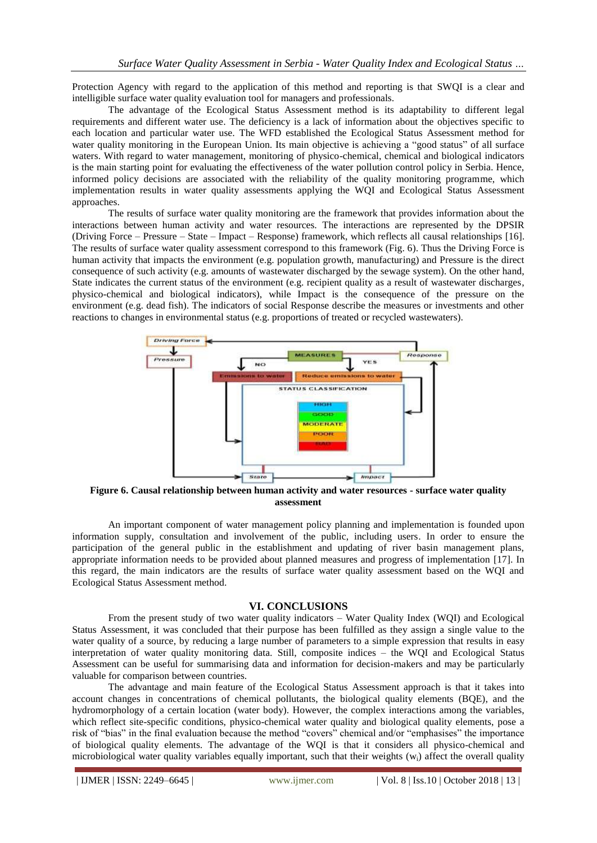Protection Agency with regard to the application of this method and reporting is that SWQI is a clear and intelligible surface water quality evaluation tool for managers and professionals.

The advantage of the Ecological Status Assessment method is its adaptability to different legal requirements and different water use. The deficiency is a lack of information about the objectives specific to each location and particular water use. The WFD established the Ecological Status Assessment method for water quality monitoring in the European Union. Its main objective is achieving a "good status" of all surface waters. With regard to water management, monitoring of physico-chemical, chemical and biological indicators is the main starting point for evaluating the effectiveness of the water pollution control policy in Serbia. Hence, informed policy decisions are associated with the reliability of the quality monitoring programme, which implementation results in water quality assessments applying the WQI and Ecological Status Assessment approaches.

The results of surface water quality monitoring are the framework that provides information about the interactions between human activity and water resources. The interactions are represented by the DPSIR (Driving Force – Pressure – State – Impact – Response) framework, which reflects all causal relationships [16]. The results of surface water quality assessment correspond to this framework (Fig. 6). Thus the Driving Force is human activity that impacts the environment (e.g. population growth, manufacturing) and Pressure is the direct consequence of such activity (e.g. amounts of wastewater discharged by the sewage system). On the other hand, State indicates the current status of the environment (e.g. recipient quality as a result of wastewater discharges, physico-chemical and biological indicators), while Impact is the consequence of the pressure on the environment (e.g. dead fish). The indicators of social Response describe the measures or investments and other reactions to changes in environmental status (e.g. proportions of treated or recycled wastewaters).



**Figure 6. Causal relationship between human activity and water resources - surface water quality assessment**

An important component of water management policy planning and implementation is founded upon information supply, consultation and involvement of the public, including users. In order to ensure the participation of the general public in the establishment and updating of river basin management plans, appropriate information needs to be provided about planned measures and progress of implementation [17]. In this regard, the main indicators are the results of surface water quality assessment based on the WQI and Ecological Status Assessment method.

#### **VI. CONCLUSIONS**

From the present study of two water quality indicators – Water Quality Index (WQI) and Ecological Status Assessment, it was concluded that their purpose has been fulfilled as they assign a single value to the water quality of a source, by reducing a large number of parameters to a simple expression that results in easy interpretation of water quality monitoring data. Still, composite indices – the WQI and Ecological Status Assessment can be useful for summarising data and information for decision-makers and may be particularly valuable for comparison between countries.

The advantage and main feature of the Ecological Status Assessment approach is that it takes into account changes in concentrations of chemical pollutants, the biological quality elements (BQE), and the hydromorphology of a certain location (water body). However, the complex interactions among the variables, which reflect site-specific conditions, physico-chemical water quality and biological quality elements, pose a risk of "bias" in the final evaluation because the method "covers" chemical and/or "emphasises" the importance of biological quality elements. The advantage of the WQI is that it considers all physico-chemical and microbiological water quality variables equally important, such that their weights  $(w_i)$  affect the overall quality